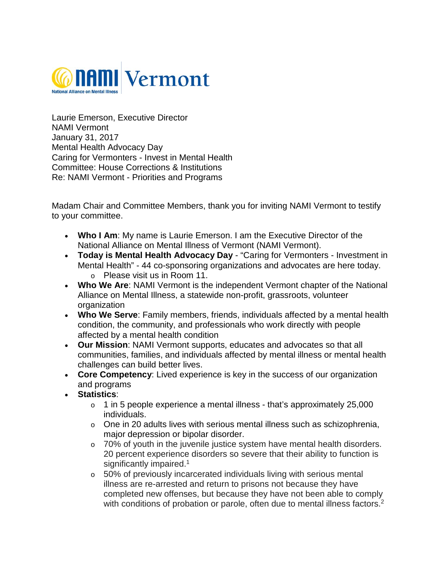

Laurie Emerson, Executive Director NAMI Vermont January 31, 2017 Mental Health Advocacy Day Caring for Vermonters - Invest in Mental Health Committee: House Corrections & Institutions Re: NAMI Vermont - Priorities and Programs

Madam Chair and Committee Members, thank you for inviting NAMI Vermont to testify to your committee.

- **Who I Am**: My name is Laurie Emerson. I am the Executive Director of the National Alliance on Mental Illness of Vermont (NAMI Vermont).
- **Today is Mental Health Advocacy Day**  "Caring for Vermonters Investment in Mental Health" - 44 co-sponsoring organizations and advocates are here today. o Please visit us in Room 11.
- **Who We Are**: NAMI Vermont is the independent Vermont chapter of the National Alliance on Mental Illness, a statewide non-profit, grassroots, volunteer organization
- **Who We Serve**: Family members, friends, individuals affected by a mental health condition, the community, and professionals who work directly with people affected by a mental health condition
- **Our Mission**: NAMI Vermont supports, educates and advocates so that all communities, families, and individuals affected by mental illness or mental health challenges can build better lives.
- **Core Competency**: Lived experience is key in the success of our organization and programs
- **Statistics**:
	- $\circ$  1 in 5 people experience a mental illness that's approximately 25,000 individuals.
	- o One in 20 adults lives with serious mental illness such as schizophrenia, major depression or bipolar disorder.
	- o 70% of youth in the juvenile justice system have mental health disorders. 20 percent experience disorders so severe that their ability to function is significantly impaired.<sup>1</sup>
	- $\circ$  50% of previously incarcerated individuals living with serious mental illness are re-arrested and return to prisons not because they have completed new offenses, but because they have not been able to comply with conditions of probation or parole, often due to mental illness factors.<sup>2</sup>